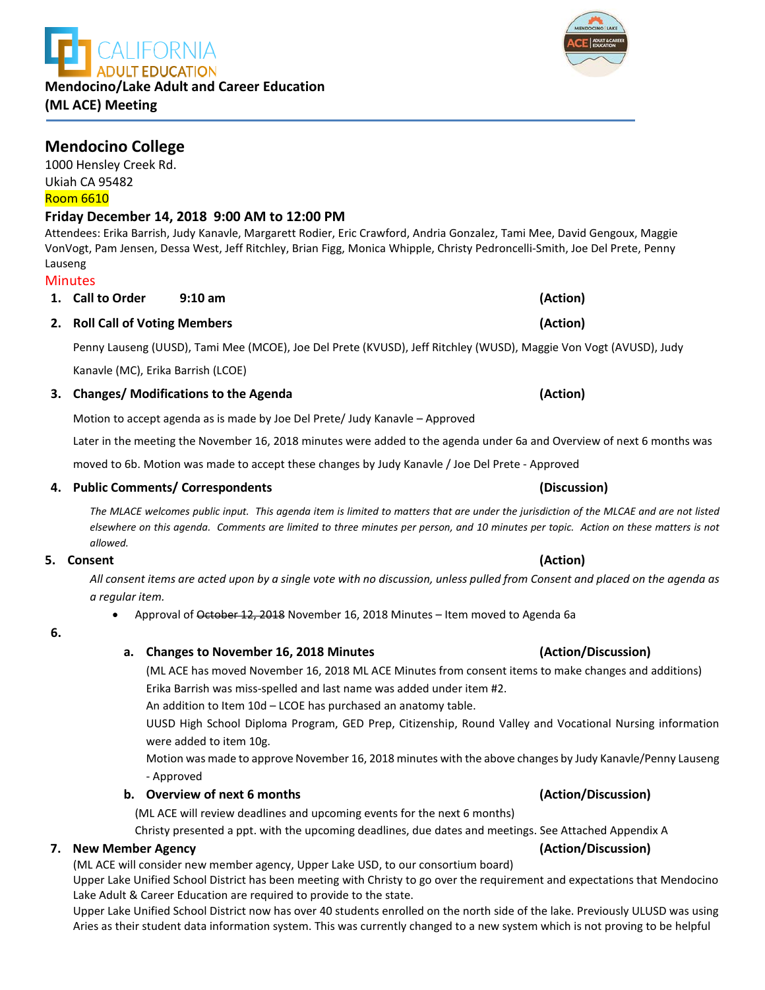## **Mendocino College**

1000 Hensley Creek Rd. Ukiah CA 95482 Room 6610

## **Friday December 14, 2018 9:00 AM to 12:00 PM**

Attendees: Erika Barrish, Judy Kanavle, Margarett Rodier, Eric Crawford, Andria Gonzalez, Tami Mee, David Gengoux, Maggie VonVogt, Pam Jensen, Dessa West, Jeff Ritchley, Brian Figg, Monica Whipple, Christy Pedroncelli-Smith, Joe Del Prete, Penny Lauseng

### **Minutes**

**1. Call to Order 9:10 am (Action) 2. Roll Call of Voting Members (Action)**

Penny Lauseng (UUSD), Tami Mee (MCOE), Joe Del Prete (KVUSD), Jeff Ritchley (WUSD), Maggie Von Vogt (AVUSD), Judy

Kanavle (MC), Erika Barrish (LCOE)

### **3. Changes/ Modifications to the Agenda (Action)**

Motion to accept agenda as is made by Joe Del Prete/ Judy Kanavle – Approved

Later in the meeting the November 16, 2018 minutes were added to the agenda under 6a and Overview of next 6 months was

moved to 6b. Motion was made to accept these changes by Judy Kanavle / Joe Del Prete - Approved

### **4. Public Comments/ Correspondents (Discussion)**

*The MLACE welcomes public input. This agenda item is limited to matters that are under the jurisdiction of the MLCAE and are not listed elsewhere on this agenda. Comments are limited to three minutes per person, and 10 minutes per topic. Action on these matters is not allowed.*

### **5. Consent (Action)**

*All consent items are acted upon by a single vote with no discussion, unless pulled from Consent and placed on the agenda as a regular item.* 

• Approval of October 12, 2018 November 16, 2018 Minutes – Item moved to Agenda 6a

### **6.**

### **a. Changes to November 16, 2018 Minutes (Action/Discussion)**

(ML ACE has moved November 16, 2018 ML ACE Minutes from consent items to make changes and additions) Erika Barrish was miss-spelled and last name was added under item #2.

An addition to Item 10d – LCOE has purchased an anatomy table.

UUSD High School Diploma Program, GED Prep, Citizenship, Round Valley and Vocational Nursing information were added to item 10g.

Motion was made to approve November 16, 2018 minutes with the above changes by Judy Kanavle/Penny Lauseng - Approved

### **b. Overview of next 6 months (Action/Discussion)**

(ML ACE will review deadlines and upcoming events for the next 6 months)

Christy presented a ppt. with the upcoming deadlines, due dates and meetings. See Attached Appendix A

### **7. New Member Agency (Action/Discussion)**

(ML ACE will consider new member agency, Upper Lake USD, to our consortium board)

Upper Lake Unified School District has been meeting with Christy to go over the requirement and expectations that Mendocino Lake Adult & Career Education are required to provide to the state.

Upper Lake Unified School District now has over 40 students enrolled on the north side of the lake. Previously ULUSD was using Aries as their student data information system. This was currently changed to a new system which is not proving to be helpful

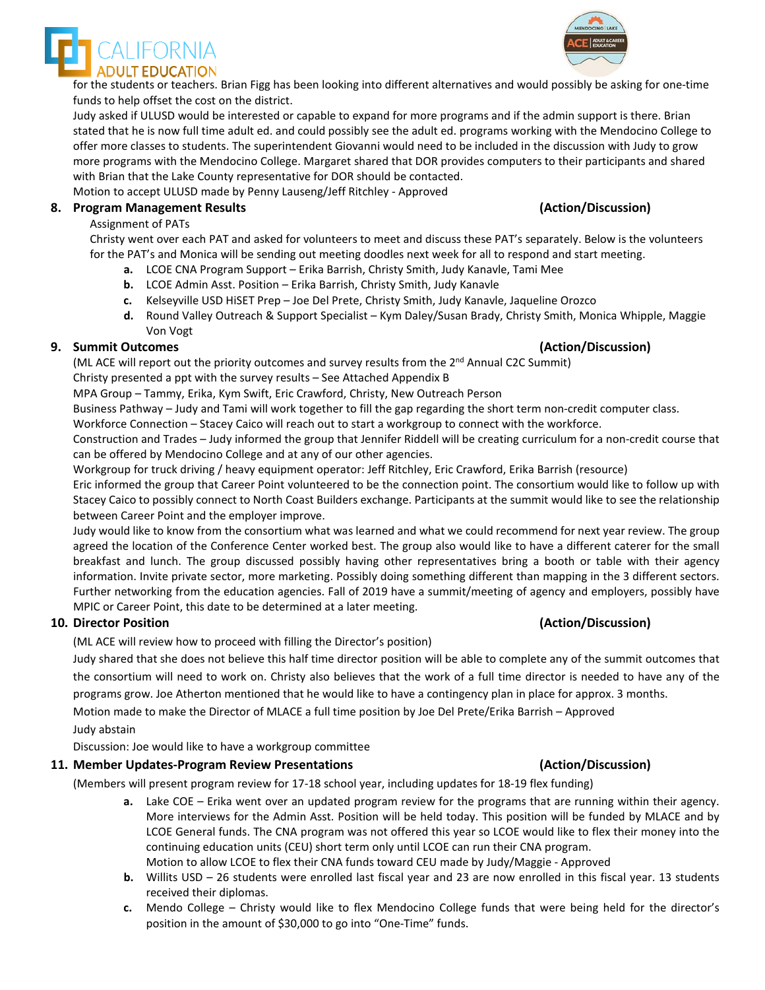Judy asked if ULUSD would be interested or capable to expand for more programs and if the admin support is there. Brian stated that he is now full time adult ed. and could possibly see the adult ed. programs working with the Mendocino College to offer more classes to students. The superintendent Giovanni would need to be included in the discussion with Judy to grow more programs with the Mendocino College. Margaret shared that DOR provides computers to their participants and shared with Brian that the Lake County representative for DOR should be contacted.

Motion to accept ULUSD made by Penny Lauseng/Jeff Ritchley - Approved

### **8. Program Management Results (Action/Discussion)**

### Assignment of PATs

Christy went over each PAT and asked for volunteers to meet and discuss these PAT's separately. Below is the volunteers for the PAT's and Monica will be sending out meeting doodles next week for all to respond and start meeting.

- **a.** LCOE CNA Program Support Erika Barrish, Christy Smith, Judy Kanavle, Tami Mee
- **b.** LCOE Admin Asst. Position Erika Barrish, Christy Smith, Judy Kanavle
- **c.** Kelseyville USD HiSET Prep Joe Del Prete, Christy Smith, Judy Kanavle, Jaqueline Orozco
- **d.** Round Valley Outreach & Support Specialist Kym Daley/Susan Brady, Christy Smith, Monica Whipple, Maggie Von Vogt

## **9. Summit Outcomes (Action/Discussion)**

(ML ACE will report out the priority outcomes and survey results from the  $2^{nd}$  Annual C2C Summit) Christy presented a ppt with the survey results – See Attached Appendix B

MPA Group – Tammy, Erika, Kym Swift, Eric Crawford, Christy, New Outreach Person

Business Pathway – Judy and Tami will work together to fill the gap regarding the short term non-credit computer class.

Workforce Connection – Stacey Caico will reach out to start a workgroup to connect with the workforce.

Construction and Trades – Judy informed the group that Jennifer Riddell will be creating curriculum for a non-credit course that can be offered by Mendocino College and at any of our other agencies.

Workgroup for truck driving / heavy equipment operator: Jeff Ritchley, Eric Crawford, Erika Barrish (resource)

Eric informed the group that Career Point volunteered to be the connection point. The consortium would like to follow up with Stacey Caico to possibly connect to North Coast Builders exchange. Participants at the summit would like to see the relationship between Career Point and the employer improve.

Judy would like to know from the consortium what was learned and what we could recommend for next year review. The group agreed the location of the Conference Center worked best. The group also would like to have a different caterer for the small breakfast and lunch. The group discussed possibly having other representatives bring a booth or table with their agency information. Invite private sector, more marketing. Possibly doing something different than mapping in the 3 different sectors. Further networking from the education agencies. Fall of 2019 have a summit/meeting of agency and employers, possibly have MPIC or Career Point, this date to be determined at a later meeting.

### **10. Director Position (Action/Discussion)**

(ML ACE will review how to proceed with filling the Director's position)

Judy shared that she does not believe this half time director position will be able to complete any of the summit outcomes that the consortium will need to work on. Christy also believes that the work of a full time director is needed to have any of the programs grow. Joe Atherton mentioned that he would like to have a contingency plan in place for approx. 3 months.

Motion made to make the Director of MLACE a full time position by Joe Del Prete/Erika Barrish – Approved Judy abstain

Discussion: Joe would like to have a workgroup committee

### **11. Member Updates-Program Review Presentations (Action/Discussion)**

(Members will present program review for 17-18 school year, including updates for 18-19 flex funding)

- **a.** Lake COE Erika went over an updated program review for the programs that are running within their agency. More interviews for the Admin Asst. Position will be held today. This position will be funded by MLACE and by LCOE General funds. The CNA program was not offered this year so LCOE would like to flex their money into the continuing education units (CEU) short term only until LCOE can run their CNA program. Motion to allow LCOE to flex their CNA funds toward CEU made by Judy/Maggie - Approved
- **b.** Willits USD 26 students were enrolled last fiscal year and 23 are now enrolled in this fiscal year. 13 students received their diplomas.
- **c.** Mendo College Christy would like to flex Mendocino College funds that were being held for the director's position in the amount of \$30,000 to go into "One-Time" funds.



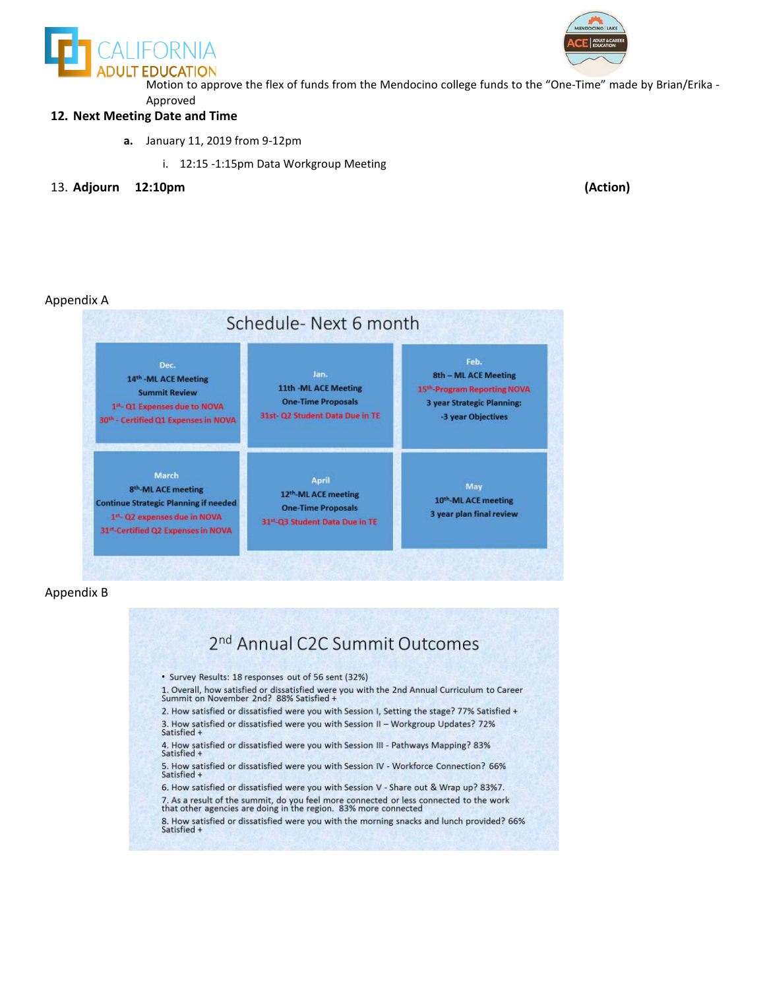



 Motion to approve the flex of funds from the Mendocino college funds to the "One-Time" made by Brian/Erika - Approved

### **12. Next Meeting Date and Time**

- **a.** January 11, 2019 from 9-12pm
	- i. 12:15 -1:15pm Data Workgroup Meeting
- 13. **Adjourn 12:10pm (Action)**

### Appendix A



### Appendix B

2<sup>nd</sup> Annual C2C Summit Outcomes • Survey Results: 18 responses out of 56 sent (32%) 1. Overall, how satisfied or dissatisfied were you with the 2nd Annual Curriculum to Career Summit on November 2nd? 88% Satisfied + 2. How satisfied or dissatisfied were you with Session I, Setting the stage? 77% Satisfied + 3. How satisfied or dissatisfied were you with Session II – Workgroup Updates? 72% Satisfied + 4. How satisfied or dissatisfied were you with Session III - Pathways Mapping? 83%<br>Satisfied + 5. How satisfied or dissatisfied were you with Session IV - Workforce Connection? 66% Satisfied + 6. How satisfied or dissatisfied were you with Session V - Share out & Wrap up? 83%7. 7. As a result of the summit, do you feel more connected or less connected to the work that other agencies are doing in the region. 83% more connected 8. How satisfied or dissatisfied were you with the morning snacks and lunch provided? 66% Satisfied +